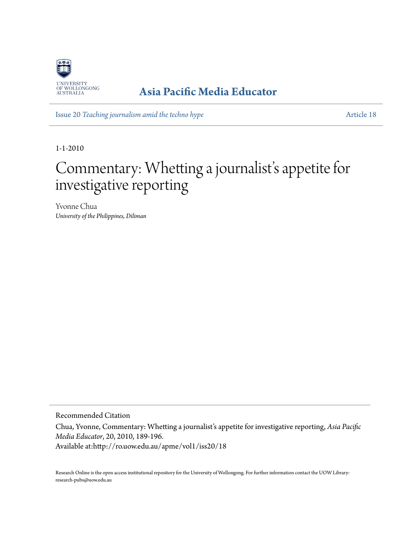

## **[Asia Pacific Media Educator](http://ro.uow.edu.au/apme)**

Issue 20 *[Teaching journalism amid the techno hype](http://ro.uow.edu.au/apme/vol1/iss20)* [Article 18](http://ro.uow.edu.au/apme/vol1/iss20/18)

1-1-2010

## Commentary: Whetting a journalist' s appetite for investigative reporting

Yvonne Chua *University of the Philippines, Diliman*

Recommended Citation

Chua, Yvonne, Commentary: Whetting a journalist's appetite for investigative reporting, *Asia Pacific Media Educator*, 20, 2010, 189-196.

Available at:http://ro.uow.edu.au/apme/vol1/iss20/18

Research Online is the open access institutional repository for the University of Wollongong. For further information contact the UOW Library: research-pubs@uow.edu.au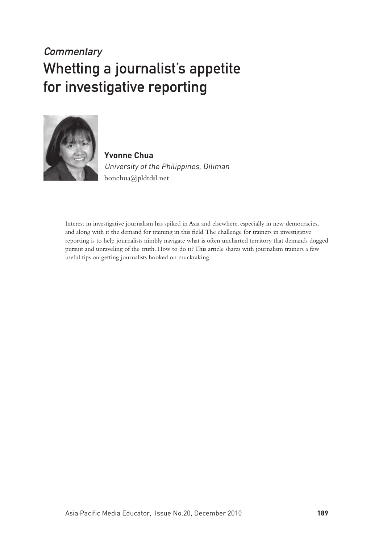## **Commentary** Whetting a journalist's appetite for investigative reporting



**Yvonne Chua** University of the Philippines, Diliman bonchua@pldtdsl.net

Interest in investigative journalism has spiked in Asia and elsewhere, especially in new democracies, and along with it the demand for training in this field. The challenge for trainers in investigative reporting is to help journalists nimbly navigate what is often uncharted territory that demands dogged pursuit and unraveling of the truth. How to do it? This article shares with journalism trainers a few useful tips on getting journalists hooked on muckraking.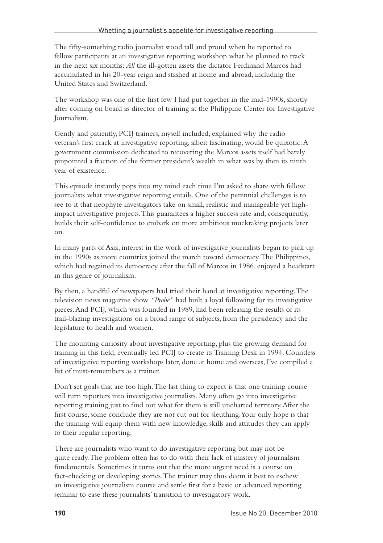The fifty-something radio journalist stood tall and proud when he reported to fellow participants at an investigative reporting workshop what he planned to track in the next six months: *All* the ill-gotten assets the dictator Ferdinand Marcos had accumulated in his 20-year reign and stashed at home and abroad, including the United States and Switzerland.

The workshop was one of the first few I had put together in the mid-1990s, shortly after coming on board as director of training at the Philippine Center for Investigative Journalism.

Gently and patiently, PCIJ trainers, myself included, explained why the radio veteran's first crack at investigative reporting, albeit fascinating, would be quixotic: A government commission dedicated to recovering the Marcos assets itself had barely pinpointed a fraction of the former president's wealth in what was by then its ninth year of existence.

This episode instantly pops into my mind each time I'm asked to share with fellow journalists what investigative reporting entails. One of the perennial challenges is to see to it that neophyte investigators take on small, realistic and manageable yet highimpact investigative projects. This guarantees a higher success rate and, consequently, builds their self-confidence to embark on more ambitious muckraking projects later on.

In many parts of Asia, interest in the work of investigative journalists began to pick up in the 1990s as more countries joined the march toward democracy. The Philippines, which had regained its democracy after the fall of Marcos in 1986, enjoyed a headstart in this genre of journalism.

By then, a handful of newspapers had tried their hand at investigative reporting. The television news magazine show *"Probe"* had built a loyal following for its investigative pieces. And PCIJ, which was founded in 1989, had been releasing the results of its trail-blazing investigations on a broad range of subjects, from the presidency and the legislature to health and women.

The mounting curiosity about investigative reporting, plus the growing demand for training in this field, eventually led PCIJ to create its Training Desk in 1994. Countless of investigative reporting workshops later, done at home and overseas, I've compiled a list of must-remembers as a trainer.

Don't set goals that are too high. The last thing to expect is that one training course will turn reporters into investigative journalists. Many often go into investigative reporting training just to find out what for them is still uncharted territory. After the first course, some conclude they are not cut out for sleuthing. Your only hope is that the training will equip them with new knowledge, skills and attitudes they can apply to their regular reporting.

There are journalists who want to do investigative reporting but may not be quite ready. The problem often has to do with their lack of mastery of journalism fundamentals. Sometimes it turns out that the more urgent need is a course on fact-checking or developing stories. The trainer may thus deem it best to eschew an investigative journalism course and settle first for a basic or advanced reporting seminar to ease these journalists' transition to investigatory work.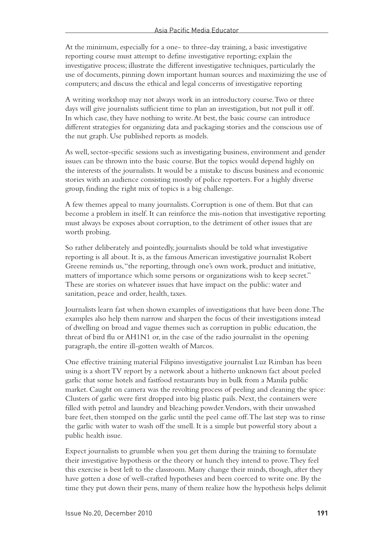At the minimum, especially for a one- to three-day training, a basic investigative reporting course must attempt to define investigative reporting; explain the investigative process; illustrate the different investigative techniques, particularly the use of documents, pinning down important human sources and maximizing the use of computers; and discuss the ethical and legal concerns of investigative reporting

A writing workshop may not always work in an introductory course. Two or three days will give journalists sufficient time to plan an investigation, but not pull it off. In which case, they have nothing to write. At best, the basic course can introduce different strategies for organizing data and packaging stories and the conscious use of the nut graph. Use published reports as models.

As well, sector-specific sessions such as investigating business, environment and gender issues can be thrown into the basic course. But the topics would depend highly on the interests of the journalists. It would be a mistake to discuss business and economic stories with an audience consisting mostly of police reporters. For a highly diverse group, finding the right mix of topics is a big challenge.

A few themes appeal to many journalists. Corruption is one of them. But that can become a problem in itself. It can reinforce the mis-notion that investigative reporting must always be exposes about corruption, to the detriment of other issues that are worth probing.

So rather deliberately and pointedly, journalists should be told what investigative reporting is all about. It is, as the famous American investigative journalist Robert Greene reminds us, "the reporting, through one's own work, product and initiative, matters of importance which some persons or organizations wish to keep secret." These are stories on whatever issues that have impact on the public: water and sanitation, peace and order, health, taxes.

Journalists learn fast when shown examples of investigations that have been done. The examples also help them narrow and sharpen the focus of their investigations instead of dwelling on broad and vague themes such as corruption in public education, the threat of bird flu or AH1N1 or, in the case of the radio journalist in the opening paragraph, the entire ill-gotten wealth of Marcos.

One effective training material Filipino investigative journalist Luz Rimban has been using is a short TV report by a network about a hitherto unknown fact about peeled garlic that some hotels and fastfood restaurants buy in bulk from a Manila public market. Caught on camera was the revolting process of peeling and cleaning the spice: Clusters of garlic were first dropped into big plastic pails. Next, the containers were filled with petrol and laundry and bleaching powder. Vendors, with their unwashed bare feet, then stomped on the garlic until the peel came off. The last step was to rinse the garlic with water to wash off the smell. It is a simple but powerful story about a public health issue.

Expect journalists to grumble when you get them during the training to formulate their investigative hypothesis or the theory or hunch they intend to prove. They feel this exercise is best left to the classroom. Many change their minds, though, after they have gotten a dose of well-crafted hypotheses and been coerced to write one. By the time they put down their pens, many of them realize how the hypothesis helps delimit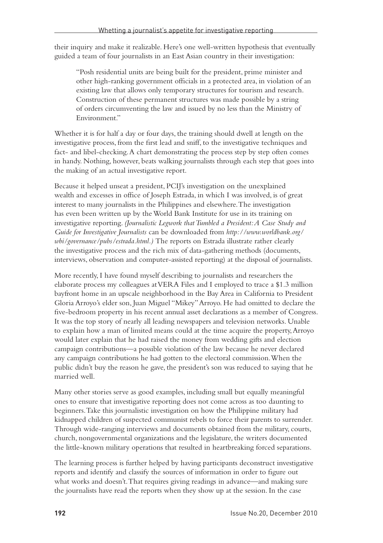their inquiry and make it realizable. Here's one well-written hypothesis that eventually guided a team of four journalists in an East Asian country in their investigation:

"Posh residential units are being built for the president, prime minister and other high-ranking government officials in a protected area, in violation of an existing law that allows only temporary structures for tourism and research. Construction of these permanent structures was made possible by a string of orders circumventing the law and issued by no less than the Ministry of Environment"

Whether it is for half a day or four days, the training should dwell at length on the investigative process, from the first lead and sniff, to the investigative techniques and fact- and libel-checking. A chart demonstrating the process step by step often comes in handy. Nothing, however, beats walking journalists through each step that goes into the making of an actual investigative report.

Because it helped unseat a president, PCIJ's investigation on the unexplained wealth and excesses in office of Joseph Estrada, in which I was involved, is of great interest to many journalists in the Philippines and elsewhere. The investigation has even been written up by the World Bank Institute for use in its training on investigative reporting. *(Journalistic Legwork that Tumbled a President: A Case Study and Guide for Investigative Journalists* can be downloaded from *http://www.worldbank.org/ wbi/governance/pubs/estrada.html.)* The reports on Estrada illustrate rather clearly the investigative process and the rich mix of data-gathering methods (documents, interviews, observation and computer-assisted reporting) at the disposal of journalists.

More recently, I have found myself describing to journalists and researchers the elaborate process my colleagues at VERA Files and I employed to trace a \$1.3 million bayfront home in an upscale neighborhood in the Bay Area in California to President Gloria Arroyo's elder son, Juan Miguel "Mikey" Arroyo. He had omitted to declare the five-bedroom property in his recent annual asset declarations as a member of Congress. It was the top story of nearly all leading newspapers and television networks. Unable to explain how a man of limited means could at the time acquire the property, Arroyo would later explain that he had raised the money from wedding gifts and election campaign contributions—a possible violation of the law because he never declared any campaign contributions he had gotten to the electoral commission. When the public didn't buy the reason he gave, the president's son was reduced to saying that he married well.

Many other stories serve as good examples, including small but equally meaningful ones to ensure that investigative reporting does not come across as too daunting to beginners. Take this journalistic investigation on how the Philippine military had kidnapped children of suspected communist rebels to force their parents to surrender. Through wide-ranging interviews and documents obtained from the military, courts, church, nongovernmental organizations and the legislature, the writers documented the little-known military operations that resulted in heartbreaking forced separations.

The learning process is further helped by having participants deconstruct investigative reports and identify and classify the sources of information in order to figure out what works and doesn't. That requires giving readings in advance—and making sure the journalists have read the reports when they show up at the session. In the case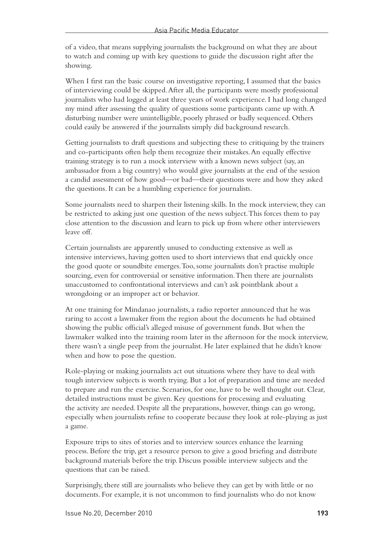of a video, that means supplying journalists the background on what they are about to watch and coming up with key questions to guide the discussion right after the showing.

When I first ran the basic course on investigative reporting, I assumed that the basics of interviewing could be skipped. After all, the participants were mostly professional journalists who had logged at least three years of work experience. I had long changed my mind after assessing the quality of questions some participants came up with. A disturbing number were unintelligible, poorly phrased or badly sequenced. Others could easily be answered if the journalists simply did background research.

Getting journalists to draft questions and subjecting these to critiquing by the trainers and co-participants often help them recognize their mistakes. An equally effective training strategy is to run a mock interview with a known news subject (say, an ambassador from a big country) who would give journalists at the end of the session a candid assessment of how good—or bad—their questions were and how they asked the questions. It can be a humbling experience for journalists.

Some journalists need to sharpen their listening skills. In the mock interview, they can be restricted to asking just one question of the news subject. This forces them to pay close attention to the discussion and learn to pick up from where other interviewers leave off.

Certain journalists are apparently unused to conducting extensive as well as intensive interviews, having gotten used to short interviews that end quickly once the good quote or soundbite emerges. Too, some journalists don't practise multiple sourcing, even for controversial or sensitive information. Then there are journalists unaccustomed to confrontational interviews and can't ask pointblank about a wrongdoing or an improper act or behavior.

At one training for Mindanao journalists, a radio reporter announced that he was raring to accost a lawmaker from the region about the documents he had obtained showing the public official's alleged misuse of government funds. But when the lawmaker walked into the training room later in the afternoon for the mock interview, there wasn't a single peep from the journalist. He later explained that he didn't know when and how to pose the question.

Role-playing or making journalists act out situations where they have to deal with tough interview subjects is worth trying. But a lot of preparation and time are needed to prepare and run the exercise. Scenarios, for one, have to be well thought out. Clear, detailed instructions must be given. Key questions for processing and evaluating the activity are needed. Despite all the preparations, however, things can go wrong, especially when journalists refuse to cooperate because they look at role-playing as just a game.

Exposure trips to sites of stories and to interview sources enhance the learning process. Before the trip, get a resource person to give a good briefing and distribute background materials before the trip. Discuss possible interview subjects and the questions that can be raised.

Surprisingly, there still are journalists who believe they can get by with little or no documents. For example, it is not uncommon to find journalists who do not know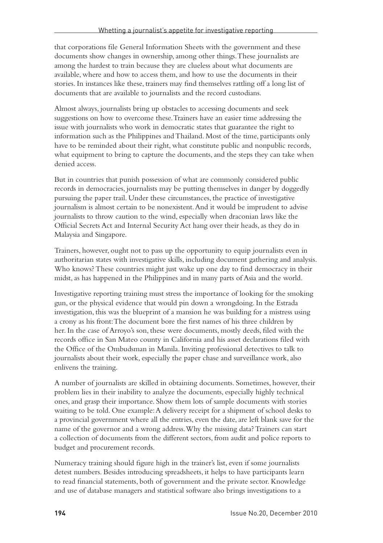that corporations file General Information Sheets with the government and these documents show changes in ownership, among other things. These journalists are among the hardest to train because they are clueless about what documents are available, where and how to access them, and how to use the documents in their stories. In instances like these, trainers may find themselves rattling off a long list of documents that are available to journalists and the record custodians.

Almost always, journalists bring up obstacles to accessing documents and seek suggestions on how to overcome these. Trainers have an easier time addressing the issue with journalists who work in democratic states that guarantee the right to information such as the Philippines and Thailand. Most of the time, participants only have to be reminded about their right, what constitute public and nonpublic records, what equipment to bring to capture the documents, and the steps they can take when denied access.

But in countries that punish possession of what are commonly considered public records in democracies, journalists may be putting themselves in danger by doggedly pursuing the paper trail. Under these circumstances, the practice of investigative journalism is almost certain to be nonexistent. And it would be imprudent to advise journalists to throw caution to the wind, especially when draconian laws like the Official Secrets Act and Internal Security Act hang over their heads, as they do in Malaysia and Singapore.

Trainers, however, ought not to pass up the opportunity to equip journalists even in authoritarian states with investigative skills, including document gathering and analysis. Who knows? These countries might just wake up one day to find democracy in their midst, as has happened in the Philippines and in many parts of Asia and the world.

Investigative reporting training must stress the importance of looking for the smoking gun, or the physical evidence that would pin down a wrongdoing. In the Estrada investigation, this was the blueprint of a mansion he was building for a mistress using a crony as his front: The document bore the first names of his three children by her. In the case of Arroyo's son, these were documents, mostly deeds, filed with the records office in San Mateo county in California and his asset declarations filed with the Office of the Ombudsman in Manila. Inviting professional detectives to talk to journalists about their work, especially the paper chase and surveillance work, also enlivens the training.

A number of journalists are skilled in obtaining documents. Sometimes, however, their problem lies in their inability to analyze the documents, especially highly technical ones, and grasp their importance. Show them lots of sample documents with stories waiting to be told. One example: A delivery receipt for a shipment of school desks to a provincial government where all the entries, even the date, are left blank save for the name of the governor and a wrong address. Why the missing data? Trainers can start a collection of documents from the different sectors, from audit and police reports to budget and procurement records.

Numeracy training should figure high in the trainer's list, even if some journalists detest numbers. Besides introducing spreadsheets, it helps to have participants learn to read financial statements, both of government and the private sector. Knowledge and use of database managers and statistical software also brings investigations to a